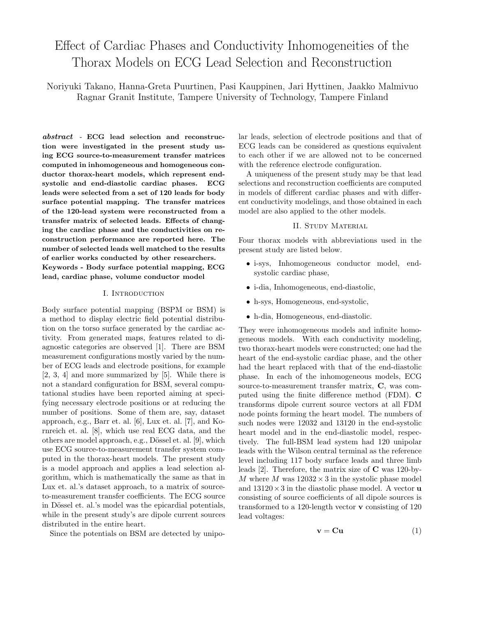# Effect of Cardiac Phases and Conductivity Inhomogeneities of the Thorax Models on ECG Lead Selection and Reconstruction

Noriyuki Takano, Hanna-Greta Puurtinen, Pasi Kauppinen, Jari Hyttinen, Jaakko Malmivuo Ragnar Granit Institute, Tampere University of Technology, Tampere Finland

abstract - ECG lead selection and reconstruction were investigated in the present study using ECG source-to-measurement transfer matrices computed in inhomogeneous and homogeneous conductor thorax-heart models, which represent endsystolic and end-diastolic cardiac phases. ECG leads were selected from a set of 120 leads for body surface potential mapping. The transfer matrices of the 120-lead system were reconstructed from a transfer matrix of selected leads. Effects of changing the cardiac phase and the conductivities on reconstruction performance are reported here. The number of selected leads well matched to the results of earlier works conducted by other researchers. Keywords - Body surface potential mapping, ECG lead, cardiac phase, volume conductor model

#### I. Introduction

Body surface potential mapping (BSPM or BSM) is a method to display electric field potential distribution on the torso surface generated by the cardiac activity. From generated maps, features related to diagnostic categories are observed [1]. There are BSM measurement configurations mostly varied by the number of ECG leads and electrode positions, for example [2, 3, 4] and more summarized by [5]. While there is not a standard configuration for BSM, several computational studies have been reported aiming at specifying necessary electrode positions or at reducing the number of positions. Some of them are, say, dataset approach, e.g., Barr et. al. [6], Lux et. al. [7], and Kornreich et. al. [8], which use real ECG data, and the others are model approach, e.g., Dössel et. al. [9], which use ECG source-to-measurement transfer system computed in the thorax-heart models. The present study is a model approach and applies a lead selection algorithm, which is mathematically the same as that in Lux et. al.'s dataset approach, to a matrix of sourceto-measurement transfer coefficients. The ECG source in Dössel et. al.'s model was the epicardial potentials, while in the present study's are dipole current sources distributed in the entire heart.

Since the potentials on BSM are detected by unipo-

lar leads, selection of electrode positions and that of ECG leads can be considered as questions equivalent to each other if we are allowed not to be concerned with the reference electrode configuration.

A uniqueness of the present study may be that lead selections and reconstruction coefficients are computed in models of different cardiac phases and with different conductivity modelings, and those obtained in each model are also applied to the other models.

#### II. Study Material

Four thorax models with abbreviations used in the present study are listed below.

- i-sys, Inhomogeneous conductor model, endsystolic cardiac phase,
- i-dia, Inhomogeneous, end-diastolic,
- h-sys, Homogeneous, end-systolic,
- h-dia, Homogeneous, end-diastolic.

They were inhomogeneous models and infinite homogeneous models. With each conductivity modeling, two thorax-heart models were constructed; one had the heart of the end-systolic cardiac phase, and the other had the heart replaced with that of the end-diastolic phase. In each of the inhomogeneous models, ECG source-to-measurement transfer matrix, C, was computed using the finite difference method (FDM). C transforms dipole current source vectors at all FDM node points forming the heart model. The numbers of such nodes were 12032 and 13120 in the end-systolic heart model and in the end-diastolic model, respectively. The full-BSM lead system had 120 unipolar leads with the Wilson central terminal as the reference level including 117 body surface leads and three limb leads [2]. Therefore, the matrix size of C was 120-by-M where M was  $12032 \times 3$  in the systolic phase model and  $13120 \times 3$  in the diastolic phase model. A vector **u** consisting of source coefficients of all dipole sources is transformed to a 120-length vector v consisting of 120 lead voltages:

$$
\mathbf{v} = \mathbf{C}\mathbf{u} \tag{1}
$$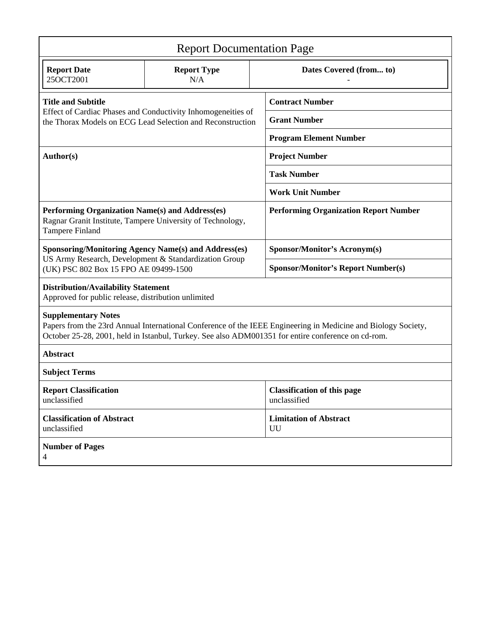| <b>Report Documentation Page</b>                                                                                                                                                                                                                  |                           |  |                                                    |  |  |  |
|---------------------------------------------------------------------------------------------------------------------------------------------------------------------------------------------------------------------------------------------------|---------------------------|--|----------------------------------------------------|--|--|--|
| <b>Report Date</b><br>25OCT2001                                                                                                                                                                                                                   | <b>Report Type</b><br>N/A |  | Dates Covered (from to)                            |  |  |  |
| <b>Title and Subtitle</b><br>Effect of Cardiac Phases and Conductivity Inhomogeneities of<br>the Thorax Models on ECG Lead Selection and Reconstruction                                                                                           |                           |  | <b>Contract Number</b>                             |  |  |  |
|                                                                                                                                                                                                                                                   |                           |  | <b>Grant Number</b>                                |  |  |  |
|                                                                                                                                                                                                                                                   |                           |  | <b>Program Element Number</b>                      |  |  |  |
| Author(s)                                                                                                                                                                                                                                         |                           |  | <b>Project Number</b>                              |  |  |  |
|                                                                                                                                                                                                                                                   |                           |  | <b>Task Number</b>                                 |  |  |  |
|                                                                                                                                                                                                                                                   |                           |  | <b>Work Unit Number</b>                            |  |  |  |
| Performing Organization Name(s) and Address(es)<br>Ragnar Granit Institute, Tampere University of Technology,<br>Tampere Finland                                                                                                                  |                           |  | <b>Performing Organization Report Number</b>       |  |  |  |
| <b>Sponsoring/Monitoring Agency Name(s) and Address(es)</b><br>US Army Research, Development & Standardization Group<br>(UK) PSC 802 Box 15 FPO AE 09499-1500                                                                                     |                           |  | <b>Sponsor/Monitor's Acronym(s)</b>                |  |  |  |
|                                                                                                                                                                                                                                                   |                           |  | <b>Sponsor/Monitor's Report Number(s)</b>          |  |  |  |
| <b>Distribution/Availability Statement</b><br>Approved for public release, distribution unlimited                                                                                                                                                 |                           |  |                                                    |  |  |  |
| <b>Supplementary Notes</b><br>Papers from the 23rd Annual International Conference of the IEEE Engineering in Medicine and Biology Society,<br>October 25-28, 2001, held in Istanbul, Turkey. See also ADM001351 for entire conference on cd-rom. |                           |  |                                                    |  |  |  |
| <b>Abstract</b>                                                                                                                                                                                                                                   |                           |  |                                                    |  |  |  |
| <b>Subject Terms</b>                                                                                                                                                                                                                              |                           |  |                                                    |  |  |  |
| <b>Report Classification</b><br>unclassified                                                                                                                                                                                                      |                           |  | <b>Classification of this page</b><br>unclassified |  |  |  |
| <b>Classification of Abstract</b><br>unclassified                                                                                                                                                                                                 |                           |  | <b>Limitation of Abstract</b><br>UU                |  |  |  |
| <b>Number of Pages</b><br>4                                                                                                                                                                                                                       |                           |  |                                                    |  |  |  |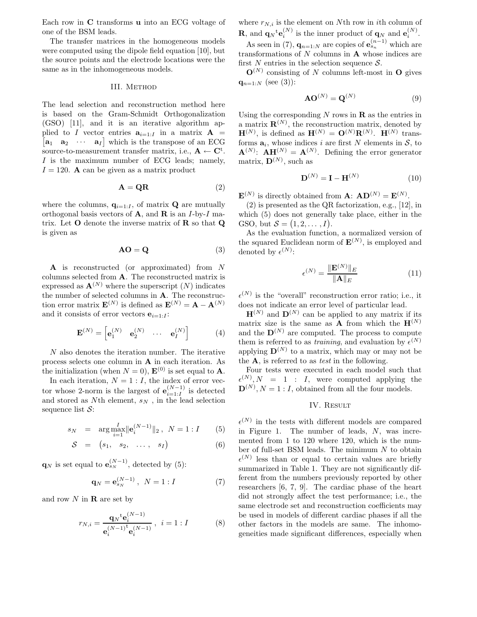Each row in C transforms u into an ECG voltage of one of the BSM leads.

The transfer matrices in the homogeneous models were computed using the dipole field equation [10], but the source points and the electrode locations were the same as in the inhomogeneous models.

#### III. Method

The lead selection and reconstruction method here is based on the Gram-Schmidt Orthogonalization (GSO) [11], and it is an iterative algorithm applied to I vector entries  $\mathbf{a}_{i=1:I}$  in a matrix  $\mathbf{A}$  =  $\begin{bmatrix} \mathbf{a}_1 & \mathbf{a}_2 & \cdots & \mathbf{a}_I \end{bmatrix}$  which is the transpose of an ECG source-to-measurement transfer matrix, i.e.,  $A \leftarrow C^t$ . I is the maximum number of ECG leads; namely,  $I = 120$ . **A** can be given as a matrix product

$$
\mathbf{A} = \mathbf{Q}\mathbf{R} \tag{2}
$$

where the columns,  $q_{i=1:I}$ , of matrix **Q** are mutually orthogonal basis vectors of  $A$ , and  $R$  is an  $I$ -by- $I$  matrix. Let  $O$  denote the inverse matrix of  $R$  so that  $Q$ is given as

$$
AO = Q \tag{3}
$$

A is reconstructed (or approximated) from N columns selected from A. The reconstructed matrix is expressed as  $\mathbf{A}^{(N)}$  where the superscript  $(N)$  indicates the number of selected columns in A. The reconstruction error matrix  $\mathbf{E}^{(N)}$  is defined as  $\mathbf{E}^{(N)} = \mathbf{A} - \mathbf{A}^{(N)}$ and it consists of error vectors  $e_{i=1}$ .

$$
\mathbf{E}^{(N)} = \begin{bmatrix} \mathbf{e}_1^{(N)} & \mathbf{e}_2^{(N)} & \cdots & \mathbf{e}_I^{(N)} \end{bmatrix}
$$
 (4)

N also denotes the iteration number. The iterative process selects one column in A in each iteration. As the initialization (when  $N = 0$ ),  $\mathbf{E}^{(0)}$  is set equal to **A**.

In each iteration,  $N = 1 : I$ , the index of error vector whose 2-norm is the largest of  $\mathbf{e}_{i=1}^{(N-1)}$  $\sum_{i=1:I}^{(N-1)}$  is detected and stored as Nth element,  $s_N$ , in the lead selection sequence list  $S$ :

$$
s_N = \arg \max_{i=1}^I \|\mathbf{e}_i^{(N-1)}\|_2, \ N = 1 : I \tag{5}
$$

$$
S = (s_1, s_2, \ldots, s_I) \qquad (6)
$$

 $\mathbf{q}_N$  is set equal to  $\mathbf{e}_{s_N}^{(N-1)}$ , detected by (5):

$$
\mathbf{q}_N = \mathbf{e}_{s_N}^{(N-1)}, \ N = 1 : I \tag{7}
$$

and row  $N$  in  **are set by** 

$$
r_{N,i} = \frac{\mathbf{q}_N \mathbf{t} \mathbf{e}_i^{(N-1)}}{\mathbf{e}_i^{(N-1)} \mathbf{t} \mathbf{e}_i^{(N-1)}}, \ i = 1 : I
$$
 (8)

where  $r_{N,i}$  is the element on Nth row in *i*th column of **R**, and  $\mathbf{q}_N^{\dagger} \mathbf{e}_i^{(N)}$  is the inner product of  $\mathbf{q}_N$  and  $\mathbf{e}_i^{(N)}$ .

As seen in (7),  $\mathbf{q}_{n=1:N}$  are copies of  $\mathbf{e}_{s_n}^{(n-1)}$  which are transformations of  $N$  columns in  $A$  whose indices are first N entries in the selection sequence  $S$ .

 $\mathbf{O}^{(N)}$  consisting of N columns left-most in O gives  $q_{n=1:N}$  (see (3)):

$$
AO^{(N)} = Q^{(N)}
$$
 (9)

Using the corresponding  $N$  rows in  $\bf{R}$  as the entries in a matrix  $\mathbf{R}^{(N)}$ , the reconstruction matrix, denoted by  $\mathbf{H}^{(N)}$ , is defined as  $\mathbf{H}^{(N)} = \mathbf{O}^{(N)} \mathbf{R}^{(N)}$ .  $\mathbf{H}^{(N)}$  transforms  $a_i$ , whose indices i are first N elements in S, to  $\mathbf{A}^{(N)}$ :  $\mathbf{A}\mathbf{H}^{(N)} = \mathbf{A}^{(N)}$ . Defining the error generator matrix,  $\mathbf{D}^{(N)}$ , such as

$$
\mathbf{D}^{(N)} = \mathbf{I} - \mathbf{H}^{(N)} \tag{10}
$$

 $\mathbf{E}^{(N)}$  is directly obtained from  $\mathbf{A}$ :  $\mathbf{A}\mathbf{D}^{(N)} = \mathbf{E}^{(N)}$ .

(2) is presented as the QR factorization, e.g., [12], in which (5) does not generally take place, either in the GSO, but  $S = (1, 2, \ldots, I)$ .

As the evaluation function, a normalized version of the squared Euclidean norm of  $\mathbf{E}^{(N)}$ , is employed and denoted by  $\epsilon^{(N)}$ :

$$
\epsilon^{(N)} = \frac{\|\mathbf{E}^{(N)}\|_E}{\|\mathbf{A}\|_E} \tag{11}
$$

 $\epsilon^{(N)}$  is the "overall" reconstruction error ratio; i.e., it does not indicate an error level of particular lead.

 $\mathbf{H}^{(N)}$  and  $\mathbf{D}^{(N)}$  can be applied to any matrix if its matrix size is the same as **A** from which the  $\mathbf{H}^{(N)}$ and the  $\mathbf{D}^{(N)}$  are computed. The process to compute them is referred to as *training*, and evaluation by  $\epsilon^{(N)}$ applying  $\mathbf{D}^{(N)}$  to a matrix, which may or may not be the  $A$ , is referred to as *test* in the following.

Four tests were executed in each model such that  $\epsilon^{(N)}, N = 1$  : I, were computed applying the  $\mathbf{D}^{(N)}$ ,  $N=1:I$ , obtained from all the four models.

#### IV. Result

 $\epsilon^{(N)}$  in the tests with different models are compared in Figure 1. The number of leads, N, was incremented from 1 to 120 where 120, which is the number of full-set BSM leads. The minimum  $N$  to obtain  $\epsilon^{(N)}$  less than or equal to certain values are briefly summarized in Table 1. They are not significantly different from the numbers previously reported by other researchers [6, 7, 9]. The cardiac phase of the heart did not strongly affect the test performance; i.e., the same electrode set and reconstruction coefficients may be used in models of different cardiac phases if all the other factors in the models are same. The inhomogeneities made significant differences, especially when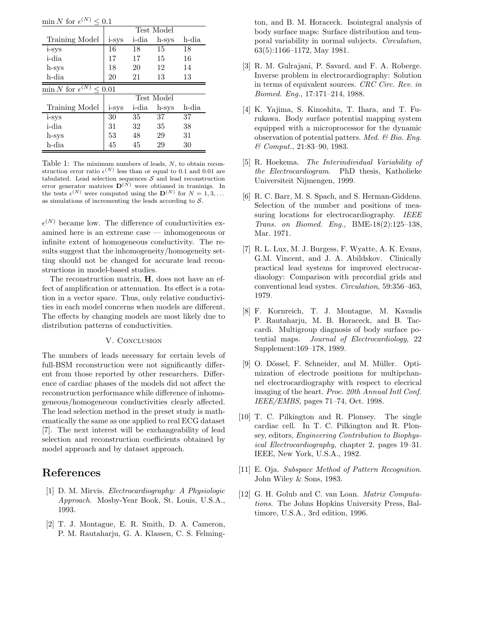$\min N$  for  $\epsilon^{(N)} \leq 0.1$ 

|                                              | Test Model |       |       |       |  |  |  |  |
|----------------------------------------------|------------|-------|-------|-------|--|--|--|--|
| Training Model                               | i-sys      | i-dia | h-sys | h-dia |  |  |  |  |
| i-sys                                        | 16         | 18    | 15    | 18    |  |  |  |  |
| i-dia                                        | 17         | 17    | 15    | 16    |  |  |  |  |
| h-sys                                        | 18         | 20    | 12    | 14    |  |  |  |  |
| h-dia                                        | 20         | 21    | 13    | 13    |  |  |  |  |
| $\min N$ for $\epsilon^{(N)}$<br>$\leq 0.01$ |            |       |       |       |  |  |  |  |
|                                              | Test Model |       |       |       |  |  |  |  |
| Training Model                               | i-sys      | i-dia | h-sys | h-dia |  |  |  |  |
| i-sys                                        | 30         | 35    | 37    | 37    |  |  |  |  |
| i-dia                                        | 31         | 32    | 35    | 38    |  |  |  |  |
| h-sys                                        | 53         | 48    | 29    | 31    |  |  |  |  |
| h-dia                                        | 45         | 45    | 29    | 30    |  |  |  |  |

Table 1: The minimum numbers of leads, N, to obtain reconstruction error ratio  $\epsilon^{(N)}$  less than or equal to 0.1 and 0.01 are tabulated. Lead selection sequences  $S$  and lead reconstruction error generator matrices  $\mathbf{D}^{(\tilde{N})}$  were obtianed in transmiss. In the tests  $\epsilon^{(N)}$  were computed using the  $\mathbf{D}^{(N)}$  for  $N=1,3,...$ as simulations of incrementing the leads according to  $S$ .

 $\epsilon^{(N)}$  became low. The difference of conductivities examined here is an extreme case — inhomogeneous or infinite extent of homogeneous conductivity. The results suggest that the inhomogeneity/homogeneity setting should not be changed for accurate lead reconstructions in model-based studies.

The reconstruction matrix, H, does not have an effect of amplification or attenuation. Its effect is a rotation in a vector space. Thus, only relative conductivities in each model concerns when models are different. The effects by changing models are most likely due to distribution patterns of conductivities.

### V. CONCLUSION

The numbers of leads necessary for certain levels of full-BSM reconstruction were not significantly different from those reported by other researchers. Difference of cardiac phases of the models did not affect the reconstruction performance while difference of inhomogeneous/homogeneous conductivities clearly affected. The lead selection method in the preset study is mathematically the same as one applied to real ECG dataset [7]. The next interest will be exchangeability of lead selection and reconstruction coefficients obtained by model approach and by dataset approach.

## References

- [1] D. M. Mirvis. Electrocardiography: A Physiologic Approach. Mosby-Year Book, St. Louis, U.S.A., 1993.
- [2] T. J. Montague, E. R. Smith, D. A. Cameron, P. M. Rautaharju, G. A. Klassen, C. S. Felming-

ton, and B. M. Horaceck. Isointegral analysis of body surface maps: Surface distribution and temporal variability in normal subjects. Circulation, 63(5):1166–1172, May 1981.

- [3] R. M. Gulrajani, P. Savard, and F. A. Roberge. Inverse problem in electrocardiography: Solution in terms of equivalent sources. CRC Circ. Rev. in Biomed. Eng., 17:171–214, 1988.
- [4] K. Yajima, S. Kinoshita, T. Ihara, and T. Furukawa. Body surface potential mapping system equipped with a microprocessor for the dynamic observation of potential patters. Med.  $\mathcal B$  Bio. Eng. & Comput., 21:83–90, 1983.
- [5] R. Hoekema. The Interindividual Variability of the Electrocardiogram. PhD thesis, Katholieke Universiteit Nijmengen, 1999.
- [6] R. C. Barr, M. S. Spach, and S. Herman-Giddens. Selection of the number and positions of measuring locations for electrocardiography. IEEE Trans. on Biomed. Eng., BME-18(2):125–138, Mar. 1971.
- [7] R. L. Lux, M. J. Burgess, F. Wyatte, A. K. Evans, G.M. Vincent, and J. A. Abildskov. Clinically practical lead systems for improved electrocardiaology: Comparison with precordial grids and conventional lead systes. Circulation, 59:356–463, 1979.
- [8] F. Kornreich, T. J. Montague, M. Kavadis P. Rautaharju, M. B. Horaceck, and B. Taccardi. Multigroup diagnosis of body surface potential maps. Journal of Electrocardiology, 22 Supplement:169–178, 1989.
- [9] O. Dössel, F. Schneider, and M. Müller. Optimization of electrode positions for multipchannel electrocardiography with respect to elecrical imaging of the heart. Proc. 20th Annual Intl Conf. IEEE/EMBS, pages 71–74, Oct. 1998.
- [10] T. C. Pilkington and R. Plonsey. The single cardiac cell. In T. C. Pilkington and R. Plonsey, editors, Engineering Contribution to Biophysical Electrocardiography, chapter 2, pages 19–31. IEEE, New York, U.S.A., 1982.
- [11] E. Oja. Subspace Method of Pattern Recognition. John Wiley & Sons, 1983.
- [12] G. H. Golub and C. van Loan. *Matrix Computa*tions. The Johns Hopkins University Press, Baltimore, U.S.A., 3rd edition, 1996.